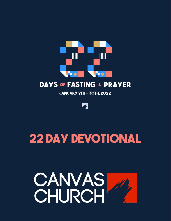

JANUARY 9TH - 30TH, 2022

di p

## **22 Day Devotional**

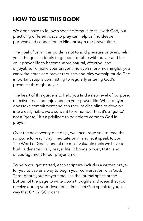## **HOW TO USE THIS BOOK**

We don't have to follow a specific formula to talk with God, but practicing different ways to pray can help us find deeper purpose and connection to Him through our prayer time.

The goal of using this guide is not to add pressure or overwhelm you. The goal is simply to get comfortable with prayer and for your prayer life to become more natural, effective, and enjoyable. To make your prayer time even more meaningful, you can write notes and prayer requests and play worship music. The important step is committing to regularly entering God's presence through prayer.

The heart of this guide is to help you find a new level of purpose, effectiveness, and enjoyment in your prayer life. While prayer does take commitment and can require discipline to develop into a daily habit, we also want to remember that it's a "get to" not a "got to." It's a privilege to be able to come to God in prayer.

Over the next twenty-one days, we encourage you to read the scripture for each day, meditate on it, and let it speak to you. The Word of God is one of the most valuable tools we have to build a dynamic daily prayer life. It brings power, truth, and encouragement to our prayer time.

To help you get started, each scripture includes a written prayer for you to use as a way to begin your conversation with God. Throughout your prayer time, use the journal space at the bottom of the page to write down thoughts and ideas that you receive during your devotional time. Let God speak to you in a way that ONLY GOD can!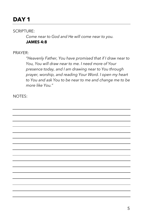## **DAY 1 DAY 1**

#### SCRIPTURE:

*Come near to God and He will come near to you.*  **JAMES 4:8** 

#### PRAYER:

*"Heavenly Father, You have promised that if I draw near to You, You will draw near to me. I need more of Your presence today, and I am drawing near to You through prayer, worship, and reading Your Word. I open my heart to You and ask You to be near to me and change me to be more like You."*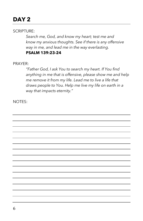SCRIPTURE:

*Search me, God, and know my heart; test me and know my anxious thoughts. See if there is any offensive way in me, and lead me in the way everlasting.* **PSALM 139:23-24** 

PRAYER:

*"Father God, I ask You to search my heart. If You find anything in me that is offensive, please show me and help me remove it from my life. Lead me to live a life that draws people to You. Help me live my life on earth in a way that impacts eternity."*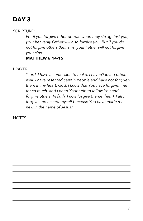#### SCRIPTURE:

*For if you forgive other people when they sin against you, your heavenly Father will also forgive you. But if you do not forgive others their sins, your Father will not forgive your sins.*

#### **MATTHEW 6:14-15**

#### PRAYER:

*"Lord, I have a confession to make. I haven't loved others well. I have resented certain people and have not forgiven them in my heart. God, I know that You have forgiven me for so much, and I need Your help to follow You and forgive others. In faith, I now forgive (name them). I also forgive and accept myself because You have made me new in the name of Jesus."#*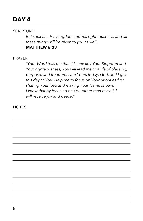## **DAY 4 DAY 1**

#### SCRIPTURE:

*But seek first His Kingdom and His righteousness, and all these things will be given to you as well.*  **MATTHEW 6:33** 

#### PRAYER:

*"Your Word tells me that if I seek first Your Kingdom and Your righteousness, You will lead me to a life of blessing, purpose, and freedom. I am Yours today, God, and I give this day to You. Help me to focus on Your priorities first, sharing Your love and making Your Name known. I know that by focusing on You rather than myself, I will receive joy and peace."*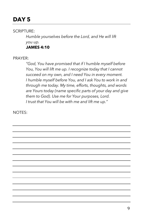#### SCRIPTURE:

*Humble yourselves before the Lord, and He will lift you up.* **JAMES 4:10** 

#### PRAYER:

*"God, You have promised that if I humble myself before You, You will lift me up. I recognize today that I cannot succeed on my own, and I need You in every moment. I humble myself before You, and I ask You to work in and through me today. My time, efforts, thoughts, and words are Yours today (name specific parts of your day and give them to God). Use me for Your purposes, Lord. I trust that You will be with me and lift me up."* 

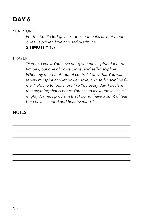#### SCRIPTURE:

*For the Spirit God gave us does not make us timid, but gives us power, love and self-discipline.* **2 TIMOTHY 1:7** 

#### PRAYER:

*"Father, I know You have not given me a spirit of fear or timidity, but one of power, love, and self-discipline. When my mind feels out of control, I pray that You will renew my spirit and let power, love, and self-discipline fill me. Help me to look more like You every day. I declare that anything that is not of You has to leave me in Jesus' mighty Name. I proclaim that I do not have a spirit of fear, but I have a sound and healthy mind."*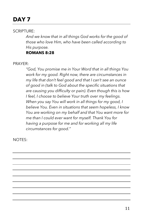## **DAY 7 DAY 1**

#### SCRIPTURE:

*And we know that in all things God works for the good of those who love Him, who have been called according to His purpose.*

#### **ROMANS 8:28**

PRAYER:

*"God, You promise me in Your Word that in all things You work for my good. Right now, there are circumstances in my life that don't feel good and that I can't see an ounce of good in (talk to God about the specific situations that are causing you difficulty or pain). Even though this is how I feel, I choose to believe Your truth over my feelings. When you say You will work in all things for my good, I believe You. Even in situations that seem hopeless, I know You are working on my behalf and that You want more for me than I could ever want for myself. Thank You for having a purpose for me and for working all my life circumstances for good."*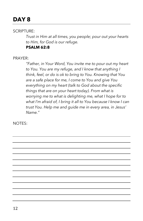#### SCRIPTURE:

*Trust in Him at all times, you people; pour out your hearts to Him, for God is our refuge.*

**PSALM 62:8** 

#### PRAYER:

*"Father, in Your Word, You invite me to pour out my heart to You. You are my refuge, and I know that anything I think, feel, or do is ok to bring to You. Knowing that You are a safe place for me, I come to You and give You everything on my heart (talk to God about the specific things that are on your heart today). From what is worrying me to what is delighting me, what I hope for to what I'm afraid of, I bring it all to You because I know I can trust You. Help me and guide me in every area, in Jesus' Name."*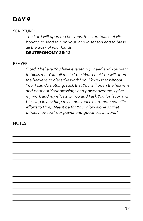## **DAY 9 DAY 1**

#### SCRIPTURE:

*The Lord will open the heavens, the storehouse of His bounty, to send rain on your land in season and to bless all the work of your hands.* 

#### **DEUTERONOMY 28:12**

#### PRAYER:

*"Lord, I believe You have everything I need and You want to bless me. You tell me in Your Word that You will open the heavens to bless the work I do. I know that without You, I can do nothing. I ask that You will open the heavens and pour out Your blessings and power over me. I give my work and my efforts to You and I ask You for favor and blessing in anything my hands touch (surrender specific efforts to Him). May it be for Your glory alone so that others may see Your power and goodness at work."*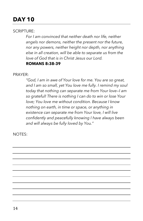## **DAY 10 DAY 1**

SCRIPTURE:

*For I am convinced that neither death nor life, neither angels nor demons, neither the present nor the future, nor any powers, neither height nor depth, nor anything else in all creation, will be able to separate us from the love of God that is in Christ Jesus our Lord.* 

#### **ROMANS 8:38-39**

PRAYER:

*"God, I am in awe of Your love for me. You are so great, and I am so small, yet You love me fully. I remind my soul today that nothing can separate me from Your love—I am so grateful! There is nothing I can do to win or lose Your love; You love me without condition. Because I know nothing on earth, in time or space, or anything in existence can separate me from Your love, I will live confidently and peacefully knowing I have always been and will always be fully loved by You."*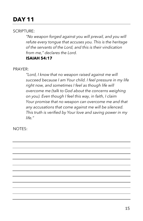## **DAY 11 DAY 1**

#### SCRIPTURE:

*"No weapon forged against you will prevail, and you will refute every tongue that accuses you. This is the heritage of the servants of the Lord, and this is their vindication from me," declares the Lord.*  **ISAIAH 54:17** 

PRAYER:

*"Lord, I know that no weapon raised against me will succeed because I am Your child. I feel pressure in my life right now, and sometimes I feel as though life will overcome me (talk to God about the concerns weighing on you). Even though I feel this way, in faith, I claim Your promise that no weapon can overcome me and that any accusations that come against me will be silenced. This truth is verified by Your love and saving power in my life."*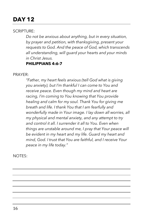## **DAY 12 DAY 1**

#### SCRIPTURE:

*Do not be anxious about anything, but in every situation, by prayer and petition, with thanksgiving, present your requests to God. And the peace of God, which transcends all understanding, will guard your hearts and your minds in Christ Jesus.*

#### **PHILIPPIANS 4:6-7**

#### PRAYER:

*"Father, my heart feels anxious (tell God what is giving you anxiety), but I'm thankful I can come to You and receive peace. Even though my mind and heart are racing, I'm coming to You knowing that You provide healing and calm for my soul. Thank You for giving me breath and life. I thank You that I am fearfully and wonderfully made in Your image. I lay down all worries, all my physical and mental anxiety, and any attempt to try and control it all. I surrender it all to You. Even when things are unstable around me, I pray that Your peace will be evident in my heart and my life. Guard my heart and mind, God. I trust that You are faithful, and I receive Your peace in my life today."*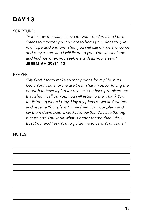## **DAY 13 DAY 1**

SCRIPTURE:

*"For I know the plans I have for you," declares the Lord, "plans to prosper you and not to harm you, plans to give you hope and a future. Then you will call on me and come and pray to me, and I will listen to you. You will seek me and find me when you seek me with all your heart."* **JEREMIAH 29:11-13** 

PRAYER:

*"My God, I try to make so many plans for my life, but I know Your plans for me are best. Thank You for loving me enough to have a plan for my life. You have promised me that when I call on You, You will listen to me. Thank You for listening when I pray. I lay my plans down at Your feet and receive Your plans for me (mention your plans and lay them down before God). I know that You see the big picture and You know what is better for me than I do. I trust You, and I ask You to guide me toward Your plans."*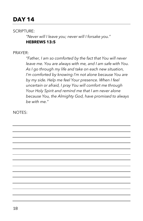### **DAY 14 DAY 1**

#### SCRIPTURE:

*"Never will I leave you; never will I forsake you."*  **HEBREWS 13:5** 

#### PRAYER:

*"Father, I am so comforted by the fact that You will never leave me. You are always with me, and I am safe with You. As I go through my life and take on each new situation, I'm comforted by knowing I'm not alone because You are by my side. Help me feel Your presence. When I feel uncertain or afraid, I pray You will comfort me through Your Holy Spirit and remind me that I am never alone because You, the Almighty God, have promised to always be with me."*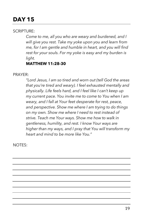## **DAY 15 DAY 1**

#### SCRIPTURE:

*Come to me, all you who are weary and burdened, and I will give you rest. Take my yoke upon you and learn from me, for I am gentle and humble in heart, and you will find rest for your souls. For my yoke is easy and my burden is light.*

### **MATTHEW 11:28-30**

#### PRAYER:

*"Lord Jesus, I am so tired and worn out (tell God the areas that you're tired and weary). I feel exhausted mentally and physically. Life feels hard, and I feel like I can't keep up my current pace. You invite me to come to You when I am weary, and I fall at Your feet desperate for rest, peace, and perspective. Show me where I am trying to do things on my own. Show me where I need to rest instead of strive. Teach me Your ways. Show me how to walk in gentleness, humility, and rest. I know Your ways are higher than my ways, and I pray that You will transform my heart and mind to be more like You."*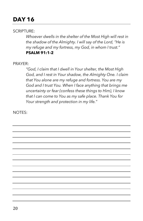## **DAY 16 DAY 1**

#### SCRIPTURE:

*Whoever dwells in the shelter of the Most High will rest in the shadow of the Almighty. I will say of the Lord, "He is my refuge and my fortress, my God, in whom I trust."*  **PSALM 91:1-2** 

#### PRAYER:

*"God, I claim that I dwell in Your shelter, the Most High God, and I rest in Your shadow, the Almighty One. I claim that You alone are my refuge and fortress. You are my God and I trust You. When I face anything that brings me uncertainty or fear (confess these things to Him), I know that I can come to You as my safe place. Thank You for Your strength and protection in my life."*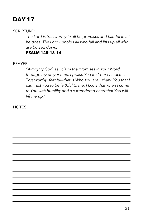## **DAY 17 DAY 1**

#### SCRIPTURE:

*The Lord is trustworthy in all he promises and faithful in all he does. The Lord upholds all who fall and lifts up all who are bowed down.*

**PSALM 145:13-14** 

PRAYER:

*"Almighty God, as I claim the promises in Your Word through my prayer time, I praise You for Your character. Trustworthy, faithful—that is Who You are. I thank You that I can trust You to be faithful to me. I know that when I come to You with humility and a surrendered heart that You will lift me up."* 

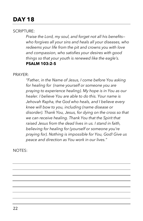## **DAY 18 DAY 1**

#### SCRIPTURE:

*Praise the Lord, my soul, and forget not all his benefits who forgives all your sins and heals all your diseases, who redeems your life from the pit and crowns you with love and compassion, who satisfies your desires with good things so that your youth is renewed like the eagle's.* **PSALM 103:2-5** 

#### PRAYER:

*"Father, in the Name of Jesus, I come before You asking for healing for (name yourself or someone you are praying to experience healing). My hope is in You as our healer. I believe You are able to do this. Your name is Jehovah Rapha, the God who heals, and I believe every knee will bow to you, including (name disease or disorder). Thank You, Jesus, for dying on the cross so that we can receive healing. Thank You that the Spirit that raised Jesus from the dead lives in us. I stand in faith, believing for healing for (yourself or someone you're praying for). Nothing is impossible for You, God! Give us peace and direction as You work in our lives."*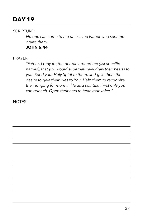## **DAY 19 DAY 1**

#### SCRIPTURE:

*No one can come to me unless the Father who sent me draws them...*

**JOHN 6:44** 

#### PRAYER:

*"Father, I pray for the people around me (list specific names), that you would supernaturally draw their hearts to you. Send your Holy Spirit to them, and give them the desire to give their lives to You. Help them to recognize their longing for more in life as a spiritual thirst only you can quench. Open their ears to hear your voice."*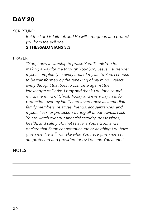## **DAY 20 DAY 1**

#### SCRIPTURE:

*But the Lord is faithful, and He will strengthen and protect you from the evil one.*

#### **2 THESSALONIANS 3:3**

#### PRAYER:

*"God, I bow in worship to praise You. Thank You for making a way for me through Your Son, Jesus. I surrender myself completely in every area of my life to You. I choose to be transformed by the renewing of my mind. I reject every thought that tries to compete against the knowledge of Christ. I pray and thank You for a sound mind, the mind of Christ. Today and every day I ask for protection over my family and loved ones; all immediate family members, relatives, friends, acquaintances, and myself. I ask for protection during all of our travels. I ask You to watch over our financial security, possessions, health, and safety. All that I have is Yours God, and I declare that Satan cannot touch me or anything You have given me. He will not take what You have given me as I am protected and provided for by You and You alone."*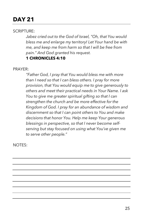## **DAY 21 DAY 1**

#### SCRIPTURE:

*Jabez cried out to the God of Israel, "Oh, that You would bless me and enlarge my territory! Let Your hand be with me, and keep me from harm so that I will be free from pain." And God granted his request.*  **1 CHRONICLES 4:10** 

#### PRAYER:

*"Father God, I pray that You would bless me with more than I need so that I can bless others. I pray for more provision, that You would equip me to give generously to others and meet their practical needs in Your Name. I ask You to give me greater spiritual gifting so that I can strengthen the church and be more effective for the Kingdom of God. I pray for an abundance of wisdom and discernment so that I can point others to You and make decisions that honor You. Help me keep Your generous blessings in perspective, so that I never become selfserving but stay focused on using what You've given me to serve other people."*